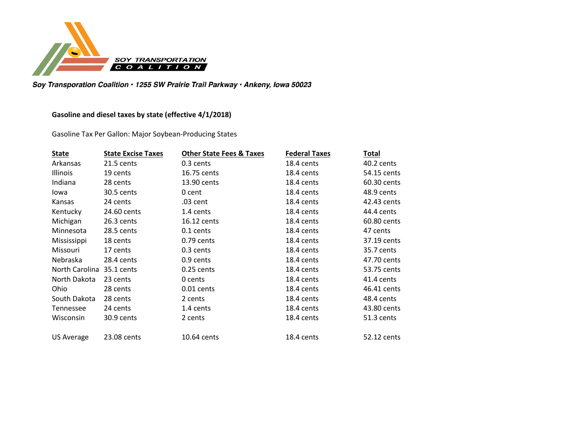

Soy Transporation Coalition · 1255 SW Prairie Trail Parkway · Ankeny, Iowa 50023

## **Gasoline and diesel taxes by state (effective 4/1/2018)**

Gasoline Tax Per Gallon: Major Soybean-Producing States

| <b>State</b>      | <b>State Excise Taxes</b> | <b>Other State Fees &amp; Taxes</b> | <b>Federal Taxes</b> | Total       |
|-------------------|---------------------------|-------------------------------------|----------------------|-------------|
| Arkansas          | 21.5 cents                | 0.3 cents                           | 18.4 cents           | 40.2 cents  |
| Illinois          | 19 cents                  | 16.75 cents                         | 18.4 cents           | 54.15 cents |
| Indiana           | 28 cents                  | 13.90 cents                         | 18.4 cents           | 60.30 cents |
| lowa              | 30.5 cents                | 0 cent                              | 18.4 cents           | 48.9 cents  |
| Kansas            | 24 cents                  | .03 cent                            | 18.4 cents           | 42.43 cents |
| Kentucky          | 24.60 cents               | 1.4 cents                           | 18.4 cents           | 44.4 cents  |
| Michigan          | 26.3 cents                | 16.12 cents                         | 18.4 cents           | 60.80 cents |
| Minnesota         | 28.5 cents                | 0.1 cents                           | 18.4 cents           | 47 cents    |
| Mississippi       | 18 cents                  | $0.79$ cents                        | 18.4 cents           | 37.19 cents |
| Missouri          | 17 cents                  | 0.3 cents                           | 18.4 cents           | 35.7 cents  |
| <b>Nebraska</b>   | 28.4 cents                | 0.9 cents                           | 18.4 cents           | 47.70 cents |
| North Carolina    | 35.1 cents                | 0.25 cents                          | 18.4 cents           | 53.75 cents |
| North Dakota      | 23 cents                  | 0 cents                             | 18.4 cents           | 41.4 cents  |
| Ohio              | 28 cents                  | $0.01$ cents                        | 18.4 cents           | 46.41 cents |
| South Dakota      | 28 cents                  | 2 cents                             | 18.4 cents           | 48.4 cents  |
| Tennessee         | 24 cents                  | 1.4 cents                           | 18.4 cents           | 43.80 cents |
| Wisconsin         | 30.9 cents                | 2 cents                             | 18.4 cents           | 51.3 cents  |
| <b>US Average</b> | 23.08 cents               | 10.64 cents                         | 18.4 cents           | 52.12 cents |